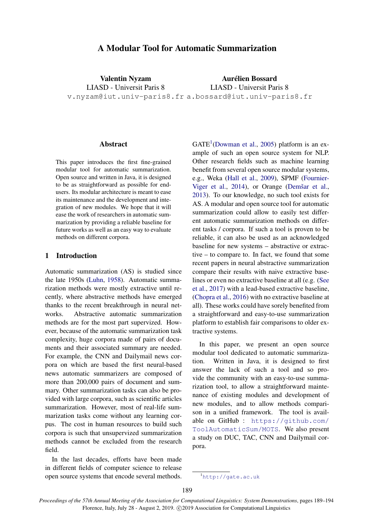# A Modular Tool for Automatic Summarization

Valentin Nyzam LIASD - Universit Paris 8

Aurélien Bossard LIASD - Universit Paris 8

v.nyzam@iut.univ-paris8.fr a.bossard@iut.univ-paris8.fr

#### **Abstract**

This paper introduces the first fine-grained modular tool for automatic summarization. Open source and written in Java, it is designed to be as straightforward as possible for endusers. Its modular architecture is meant to ease its maintenance and the development and integration of new modules. We hope that it will ease the work of researchers in automatic summarization by providing a reliable baseline for future works as well as an easy way to evaluate methods on different corpora.

# 1 Introduction

Automatic summarization (AS) is studied since the late 1950s [\(Luhn,](#page-5-0) [1958\)](#page-5-0). Automatic summarization methods were mostly extractive until recently, where abstractive methods have emerged thanks to the recent breakthrough in neural networks. Abstractive automatic summarization methods are for the most part supervized. However, because of the automatic summarization task complexity, huge corpora made of pairs of documents and their associated summary are needed. For example, the CNN and Dailymail news corpora on which are based the first neural-based news automatic summarizers are composed of more than 200,000 pairs of document and summary. Other summarization tasks can also be provided with large corpora, such as scientific articles summarization. However, most of real-life summarization tasks come without any learning corpus. The cost in human resources to build such corpora is such that unsupervized summarization methods cannot be excluded from the research field.

In the last decades, efforts have been made in different fields of computer science to release open source systems that encode several methods.

 $GATE<sup>1</sup>(Downan et al., 2005) platform is an ex GATE<sup>1</sup>(Downan et al., 2005) platform is an ex GATE<sup>1</sup>(Downan et al., 2005) platform is an ex GATE<sup>1</sup>(Downan et al., 2005) platform is an ex GATE<sup>1</sup>(Downan et al., 2005) platform is an ex$ ample of such an open source system for NLP. Other research fields such as machine learning benefit from several open source modular systems, e.g., Weka [\(Hall et al.,](#page-5-1) [2009\)](#page-5-1), SPMF [\(Fournier-](#page-5-2)[Viger et al.,](#page-5-2) [2014\)](#page-5-2), or Orange (Demšar et al., [2013\)](#page-4-1). To our knowledge, no such tool exists for AS. A modular and open source tool for automatic summarization could allow to easily test different automatic summarization methods on different tasks / corpora. If such a tool is proven to be reliable, it can also be used as an acknowledged baseline for new systems – abstractive or extractive – to compare to. In fact, we found that some recent papers in neural abstractive summarization compare their results with naive extractive baselines or even no extractive baseline at all (e.g. [\(See](#page-5-3) [et al.,](#page-5-3) [2017\)](#page-5-3) with a lead-based extractive baseline, [\(Chopra et al.,](#page-4-2) [2016\)](#page-4-2) with no extractive baseline at all). These works could have sorely benefited from a straightforward and easy-to-use summarization platform to establish fair comparisons to older extractive systems.

In this paper, we present an open source modular tool dedicated to automatic summarization. Written in Java, it is designed to first answer the lack of such a tool and so provide the community with an easy-to-use summarization tool, to allow a straightforward maintenance of existing modules and development of new modules, and to allow methods comparison in a unified framework. The tool is available on GitHub : [https://github.com/](https://github.com/ToolAutomaticSum/MOTS) [ToolAutomaticSum/MOTS](https://github.com/ToolAutomaticSum/MOTS). We also present a study on DUC, TAC, CNN and Dailymail corpora.

<span id="page-0-0"></span><sup>1</sup><http://gate.ac.uk>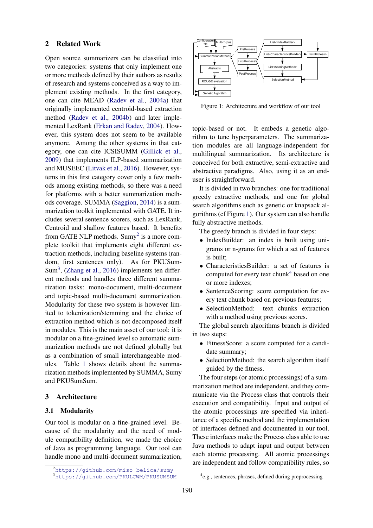#### <span id="page-1-4"></span>2 Related Work

Open source summarizers can be classified into two categories: systems that only implement one or more methods defined by their authors as results of research and systems conceived as a way to implement existing methods. In the first category, one can cite MEAD [\(Radev et al.,](#page-5-4) [2004a\)](#page-5-4) that originally implemented centroid-based extraction method [\(Radev et al.,](#page-5-5) [2004b\)](#page-5-5) and later implemented LexRank [\(Erkan and Radev,](#page-4-3) [2004\)](#page-4-3). However, this system does not seem to be available anymore. Among the other systems in that category, one can cite ICSISUMM [\(Gillick et al.,](#page-5-6) [2009\)](#page-5-6) that implements ILP-based summarization and MUSEEC [\(Litvak et al.,](#page-5-7) [2016\)](#page-5-7). However, systems in this first category cover only a few methods among existing methods, so there was a need for platforms with a better summarization methods coverage. SUMMA [\(Saggion,](#page-5-8) [2014\)](#page-5-8) is a summarization toolkit implemented with GATE. It includes several sentence scorers, such as LexRank, Centroid and shallow features based. It benefits from GATE NLP methods. Sumy<sup>[2](#page-1-0)</sup> is a more complete toolkit that implements eight different extraction methods, including baseline systems (random, first sentences only). As for PKUSum- $Sum<sup>3</sup>$  $Sum<sup>3</sup>$  $Sum<sup>3</sup>$ , [\(Zhang et al.,](#page-5-9) [2016\)](#page-5-9) implements ten different methods and handles three different summarization tasks: mono-document, multi-document and topic-based multi-document summarization. Modularity for these two system is however limited to tokenization/stemming and the choice of extraction method which is not decomposed itself in modules. This is the main asset of our tool: it is modular on a fine-grained level so automatic summarization methods are not defined globally but as a combination of small interchangeable modules. Table [1](#page-3-0) shows details about the summarization methods implemented by SUMMA, Sumy and PKUSumSum.

# 3 Architecture

#### 3.1 Modularity

Our tool is modular on a fine-grained level. Because of the modularity and the need of module compatibility definition, we made the choice of Java as programming language. Our tool can handle mono and multi-document summarization,

<span id="page-1-2"></span>

Figure 1: Architecture and workflow of our tool

topic-based or not. It embeds a genetic algorithm to tune hyperparameters. The summarization modules are all language-independent for multilingual summarization. Its architecture is conceived for both extractive, semi-extractive and abstractive paradigms. Also, using it as an enduser is straightforward.

It is divided in two branches: one for traditional greedy extractive methods, and one for global search algorithms such as genetic or knapsack algorithms (cf Figure [1\)](#page-1-2). Our system can also handle fully abstractive methods.

The greedy branch is divided in four steps:

- IndexBuilder: an index is built using unigrams or n-grams for which a set of features is built;
- CharacteristicsBuilder: a set of features is computed for every text chunk<sup>[4](#page-1-3)</sup> based on one or more indexes;
- SentenceScoring: score computation for every text chunk based on previous features;
- SelectionMethod: text chunks extraction with a method using previous scores.

The global search algorithms branch is divided in two steps:

- FitnessScore: a score computed for a candidate summary;
- SelectionMethod: the search algorithm itself guided by the fitness.

The four steps (or atomic processings) of a summarization method are independent, and they communicate via the Process class that controls their execution and compatibility. Input and output of the atomic processings are specified via inheritance of a specific method and the implementation of interfaces defined and documented in our tool. These interfaces make the Process class able to use Java methods to adapt input and output between each atomic processing. All atomic processings are independent and follow compatibility rules, so

<span id="page-1-0"></span><sup>2</sup><https://github.com/miso-belica/sumy>

<span id="page-1-1"></span><sup>3</sup><https://github.com/PKULCWM/PKUSUMSUM>

<span id="page-1-3"></span><sup>4</sup> e.g., sentences, phrases, defined during preprocessing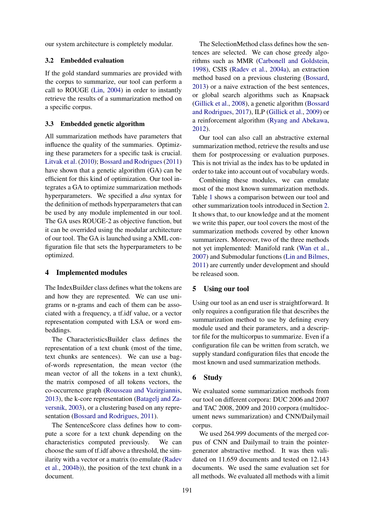our system architecture is completely modular.

#### 3.2 Embedded evaluation

If the gold standard summaries are provided with the corpus to summarize, our tool can perform a call to ROUGE [\(Lin,](#page-5-10) [2004\)](#page-5-10) in order to instantly retrieve the results of a summarization method on a specific corpus.

#### 3.3 Embedded genetic algorithm

All summarization methods have parameters that influence the quality of the summaries. Optimizing these parameters for a specific task is crucial. [Litvak et al.](#page-5-11) [\(2010\)](#page-5-11); [Bossard and Rodrigues\(2011\)](#page-4-4) have shown that a genetic algorithm (GA) can be efficient for this kind of optimization. Our tool integrates a GA to optimize summarization methods hyperparameters. We specified a *dna* syntax for the definition of methods hyperparameters that can be used by any module implemented in our tool. The GA uses ROUGE-2 as objective function, but it can be overrided using the modular architecture of our tool. The GA is launched using a XML configuration file that sets the hyperparameters to be optimized.

# 4 Implemented modules

The IndexBuilder class defines what the tokens are and how they are represented. We can use unigrams or n-grams and each of them can be associated with a frequency, a tf.idf value, or a vector representation computed with LSA or word embeddings.

The CharacteristicsBuilder class defines the representation of a text chunk (most of the time, text chunks are sentences). We can use a bagof-words representation, the mean vector (the mean vector of all the tokens in a text chunk), the matrix composed of all tokens vectors, the co-occurrence graph [\(Rousseau and Vazirgiannis,](#page-5-12) [2013\)](#page-5-12), the k-core representation [\(Batagelj and Za](#page-4-5)[versnik,](#page-4-5) [2003\)](#page-4-5), or a clustering based on any representation [\(Bossard and Rodrigues,](#page-4-4) [2011\)](#page-4-4).

The SentenceScore class defines how to compute a score for a text chunk depending on the characteristics computed previously. We can choose the sum of tf.idf above a threshold, the similarity with a vector or a matrix (to emulate [\(Radev](#page-5-5) [et al.,](#page-5-5) [2004b\)](#page-5-5)), the position of the text chunk in a document.

The SelectionMethod class defines how the sentences are selected. We can chose greedy algorithms such as MMR [\(Carbonell and Goldstein,](#page-4-6) [1998\)](#page-4-6), CSIS [\(Radev et al.,](#page-5-4) [2004a\)](#page-5-4), an extraction method based on a previous clustering [\(Bossard,](#page-4-7) [2013\)](#page-4-7) or a naive extraction of the best sentences, or global search algorithms such as Knapsack [\(Gillick et al.,](#page-5-13) [2008\)](#page-5-13), a genetic algorithm [\(Bossard](#page-4-8) [and Rodrigues,](#page-4-8) [2017\)](#page-4-8), ILP [\(Gillick et al.,](#page-5-6) [2009\)](#page-5-6) or a reinforcement algorithm [\(Ryang and Abekawa,](#page-5-14) [2012\)](#page-5-14).

Our tool can also call an abstractive external summarization method, retrieve the results and use them for postprocessing or evaluation purposes. This is not trivial as the index has to be updated in order to take into account out of vocabulary words.

Combining these modules, we can emulate most of the most known summarization methods. Table [1](#page-3-0) shows a comparison between our tool and other summarization tools introduced in Section [2.](#page-1-4) It shows that, to our knowledge and at the moment we write this paper, our tool covers the most of the summarization methods covered by other known summarizers. Moreover, two of the three methods not yet implemented: Manifold rank [\(Wan et al.,](#page-5-15) [2007\)](#page-5-15) and Submodular functions [\(Lin and Bilmes,](#page-5-16) [2011\)](#page-5-16) are currently under development and should be released soon.

#### 5 Using our tool

Using our tool as an end user is straightforward. It only requires a configuration file that describes the summarization method to use by defining every module used and their parameters, and a descriptor file for the multicorpus to summarize. Even if a configuration file can be written from scratch, we supply standard configuration files that encode the most known and used summarization methods.

# 6 Study

We evaluated some summarization methods from our tool on different corpora: DUC 2006 and 2007 and TAC 2008, 2009 and 2010 corpora (multidocument news summarization) and CNN/Dailymail corpus.

We used 264.999 documents of the merged corpus of CNN and Dailymail to train the pointergenerator abstractive method. It was then validated on 11.659 documents and tested on 12.143 documents. We used the same evaluation set for all methods. We evaluated all methods with a limit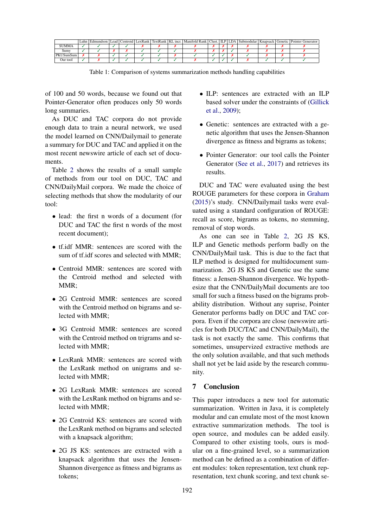<span id="page-3-0"></span>

|           | ∟uhn ! | Edmundson   Lead |  | Centroid   LexRank   TextRank   KL incr. | Manifold Rank   Clust. |  | <b>ILP LDA</b> |  | Submodular   Knapsack   Genetic   Pointer Generator |
|-----------|--------|------------------|--|------------------------------------------|------------------------|--|----------------|--|-----------------------------------------------------|
| SUMMA     |        |                  |  |                                          |                        |  |                |  |                                                     |
| Sumv      |        |                  |  |                                          |                        |  |                |  |                                                     |
| PKUSumSum |        |                  |  |                                          |                        |  |                |  |                                                     |
| Our tool  |        |                  |  |                                          |                        |  |                |  |                                                     |

Table 1: Comparison of systems summarization methods handling capabilities

of 100 and 50 words, because we found out that Pointer-Generator often produces only 50 words long summaries.

As DUC and TAC corpora do not provide enough data to train a neural network, we used the model learned on CNN/Dailymail to generate a summary for DUC and TAC and applied it on the most recent newswire article of each set of documents.

Table [2](#page-4-9) shows the results of a small sample of methods from our tool on DUC, TAC and CNN/DailyMail corpora. We made the choice of selecting methods that show the modularity of our tool:

- lead: the first n words of a document (for DUC and TAC the first n words of the most recent document);
- tf.idf MMR: sentences are scored with the sum of tf.idf scores and selected with MMR;
- Centroid MMR: sentences are scored with the Centroid method and selected with MMR;
- 2G Centroid MMR: sentences are scored with the Centroid method on bigrams and selected with MMR;
- 3G Centroid MMR: sentences are scored with the Centroid method on trigrams and selected with MMR;
- LexRank MMR: sentences are scored with the LexRank method on unigrams and selected with MMR;
- 2G LexRank MMR: sentences are scored with the LexRank method on bigrams and selected with MMR;
- 2G Centroid KS: sentences are scored with the LexRank method on bigrams and selected with a knapsack algorithm;
- 2G JS KS: sentences are extracted with a knapsack algorithm that uses the Jensen-Shannon divergence as fitness and bigrams as tokens;
- ILP: sentences are extracted with an ILP based solver under the constraints of [\(Gillick](#page-5-6) [et al.,](#page-5-6) [2009\)](#page-5-6);
- Genetic: sentences are extracted with a genetic algorithm that uses the Jensen-Shannon divergence as fitness and bigrams as tokens;
- Pointer Generator: our tool calls the Pointer Generator [\(See et al.,](#page-5-3) [2017\)](#page-5-3) and retrieves its results.

DUC and TAC were evaluated using the best ROUGE parameters for these corpora in [Graham](#page-5-17) [\(2015\)](#page-5-17)'s study. CNN/Dailymail tasks were evaluated using a standard configuration of ROUGE: recall as score, bigrams as tokens, no stemming, removal of stop words.

As one can see in Table [2,](#page-4-9) 2G JS KS, ILP and Genetic methods perform badly on the CNN/DailyMail task. This is due to the fact that ILP method is designed for multidocument summarization. 2G JS KS and Genetic use the same fitness: a Jensen-Shannon divergence. We hypothesize that the CNN/DailyMail documents are too small for such a fitness based on the bigrams probability distribution. Without any suprise, Pointer Generator performs badly on DUC and TAC corpora. Even if the corpora are close (newswire articles for both DUC/TAC and CNN/DailyMail), the task is not exactly the same. This confirms that sometimes, unsupervized extractive methods are the only solution available, and that such methods shall not yet be laid aside by the research community.

## 7 Conclusion

This paper introduces a new tool for automatic summarization. Written in Java, it is completely modular and can emulate most of the most known extractive summarization methods. The tool is open source, and modules can be added easily. Compared to other existing tools, ours is modular on a fine-grained level, so a summarization method can be defined as a combination of different modules: token representation, text chunk representation, text chunk scoring, and text chunk se-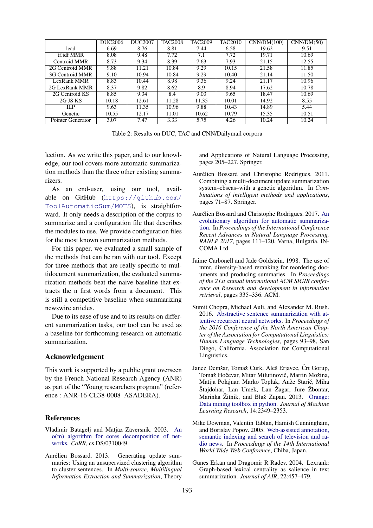<span id="page-4-9"></span>

|                   | DUC <sub>2006</sub> | DUC <sub>2007</sub> | <b>TAC2008</b> | <b>TAC2009</b> | <b>TAC2010</b> | CNN/DM(100) | CNN/DM(50) |
|-------------------|---------------------|---------------------|----------------|----------------|----------------|-------------|------------|
| lead              | 6.69                | 8.76                | 8.81           | 7.44           | 6.58           | 19.62       | 9.51       |
| tf.idf MMR        | 8.08                | 9.48                | 7.72           | 7.1            | 7.72           | 19.71       | 10.69      |
| Centroid MMR      | 8.73                | 9.34                | 8.39           | 7.63           | 7.93           | 21.15       | 12.55      |
| 2G Centroid MMR   | 9.88                | 11.21               | 10.84          | 9.29           | 10.15          | 21.58       | 11.85      |
| 3G Centroid MMR   | 9.10                | 10.94               | 10.84          | 9.29           | 10.40          | 21.14       | 11.50      |
| LexRank MMR       | 8.83                | 10.44               | 8.98           | 9.36           | 9.24           | 21.17       | 10.96      |
| 2G LexRank MMR    | 8.37                | 9.82                | 8.62           | 8.9            | 8.94           | 17.62       | 10.78      |
| 2G Centroid KS    | 8.85                | 9.34                | 8.4            | 9.03           | 9.65           | 18.47       | 10.69      |
| 2G JS KS          | 10.18               | 12.61               | 11.28          | 11.35          | 10.01          | 14.92       | 8.55       |
| ILP               | 9.63                | 11.35               | 10.96          | 9.88           | 10.43          | 14.89       | 5.44       |
| Genetic           | 10.55               | 12.17               | 11.01          | 10.62          | 10.79          | 15.35       | 10.51      |
| Pointer Generator | 3.07                | 7.47                | 3.33           | 5.75           | 4.26           | 10.24       | 10.24      |

Table 2: Results on DUC, TAC and CNN/Dailymail corpora

lection. As we write this paper, and to our knowledge, our tool covers more automatic summarization methods than the three other existing summarizers.

As an end-user, using our tool, available on GitHub ([https://github.com/](https://github.com/ToolAutomaticSum/MOTS) [ToolAutomaticSum/MOTS](https://github.com/ToolAutomaticSum/MOTS)), is straightforward. It only needs a description of the corpus to summarize and a configuration file that describes the modules to use. We provide configuration files for the most known summarization methods.

For this paper, we evaluated a small sample of the methods that can be ran with our tool. Except for three methods that are really specific to multidocument summarization, the evaluated summarization methods beat the naive baseline that extracts the n first words from a document. This is still a competitive baseline when summarizing newswire articles.

Due to its ease of use and to its results on different summarization tasks, our tool can be used as a baseline for forthcoming research on automatic summarization.

## Acknowledgement

This work is supported by a public grant overseen by the French National Research Agency (ANR) as part of the "Young researchers program" (reference : ANR-16-CE38-0008 ASADERA).

#### **References**

- <span id="page-4-5"></span>Vladimir Batagelj and Matjaz Zaversnik. 2003. [An](http://arxiv.org/abs/cs.DS/0310049) [o\(m\) algorithm for cores decomposition of net](http://arxiv.org/abs/cs.DS/0310049)[works.](http://arxiv.org/abs/cs.DS/0310049) *CoRR*, cs.DS/0310049.
- <span id="page-4-7"></span>Aurélien Bossard. 2013. Generating update summaries: Using an unsupervized clustering algorithm to cluster sentences. In *Multi-source, Multilingual Information Extraction and Summarization*, Theory

and Applications of Natural Language Processing, pages 205–227. Springer.

- <span id="page-4-4"></span>Aurélien Bossard and Christophe Rodrigues. 2011. Combining a multi-document update summarization system–cbseas–with a genetic algorithm. In *Combinations of intelligent methods and applications*, pages 71–87. Springer.
- <span id="page-4-8"></span>Aurélien Bossard and Christophe Rodrigues. 2017. [An](https://doi.org/10.26615/978-954-452-049-6_017) [evolutionary algorithm for automatic summariza](https://doi.org/10.26615/978-954-452-049-6_017)[tion.](https://doi.org/10.26615/978-954-452-049-6_017) In *Proceedings of the International Conference Recent Advances in Natural Language Processing, RANLP 2017*, pages 111–120, Varna, Bulgaria. IN-COMA Ltd.
- <span id="page-4-6"></span>Jaime Carbonell and Jade Goldstein. 1998. The use of mmr, diversity-based reranking for reordering documents and producing summaries. In *Proceedings of the 21st annual international ACM SIGIR conference on Research and development in information retrieval*, pages 335–336. ACM.
- <span id="page-4-2"></span>Sumit Chopra, Michael Auli, and Alexander M. Rush. 2016. [Abstractive sentence summarization with at](http://www.aclweb.org/anthology/N16-1012)[tentive recurrent neural networks.](http://www.aclweb.org/anthology/N16-1012) In *Proceedings of the 2016 Conference of the North American Chapter of the Association for Computational Linguistics: Human Language Technologies*, pages 93–98, San Diego, California. Association for Computational Linguistics.
- <span id="page-4-1"></span>Janez Demšar, Tomaž Curk, Aleš Erjavec, Črt Gorup, Tomaž Hočevar, Mitar Milutinovič, Martin Možina, Matija Polajnar, Marko Toplak, Anže Starič, Miha Štajdohar, Lan Umek, Lan Žagar, Jure Žbontar, Marinka Žitnik, and Blaž Zupan. 2013. [Orange:](http://jmlr.org/papers/v14/demsar13a.html) [Data mining toolbox in python.](http://jmlr.org/papers/v14/demsar13a.html) *Journal of Machine Learning Research*, 14:2349–2353.
- <span id="page-4-0"></span>Mike Dowman, Valentin Tablan, Hamish Cunningham, and Borislav Popov. 2005. [Web-assisted annotation,](http://gate.ac.uk/sale/www05/web-assisted-annotation.pdf) [semantic indexing and search of television and ra](http://gate.ac.uk/sale/www05/web-assisted-annotation.pdf)[dio news.](http://gate.ac.uk/sale/www05/web-assisted-annotation.pdf) In *Proceedings of the 14th International World Wide Web Conference*, Chiba, Japan.
- <span id="page-4-3"></span>Günes Erkan and Dragomir R Radev. 2004. Lexrank: Graph-based lexical centrality as salience in text summarization. *Journal of AIR*, 22:457–479.